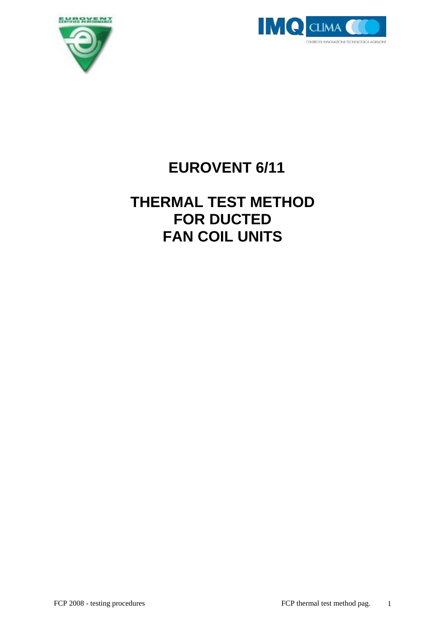



# **EUROVENT 6/11**

## **THERMAL TEST METHOD FOR DUCTED FAN COIL UNITS**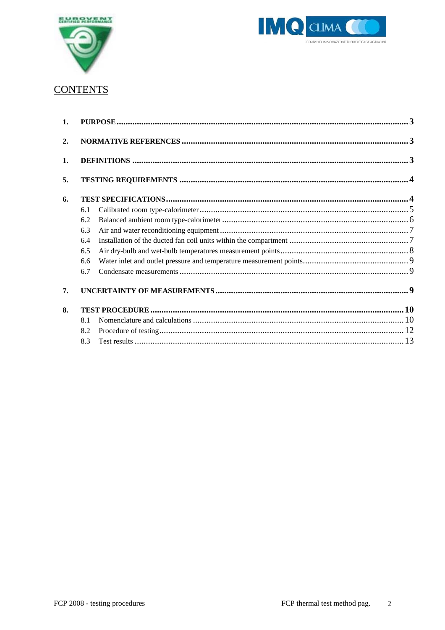



### **CONTENTS**

| $\mathbf{1}$ . |     |  |
|----------------|-----|--|
|                |     |  |
| 2.             |     |  |
| 1.             |     |  |
| 5.             |     |  |
| 6.             |     |  |
|                | 6.1 |  |
|                | 6.2 |  |
|                | 6.3 |  |
|                | 6.4 |  |
|                | 6.5 |  |
|                | 6.6 |  |
|                | 6.7 |  |
| 7.             |     |  |
| 8.             |     |  |
|                | 8.1 |  |
|                | 8.2 |  |
|                | 8.3 |  |
|                |     |  |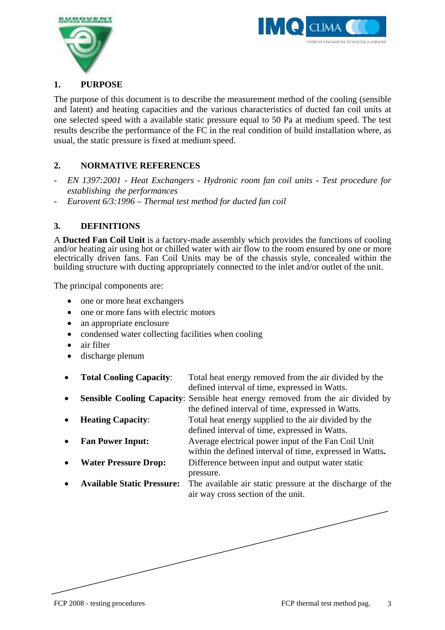



#### **1. PURPOSE**

The purpose of this document is to describe the measurement method of the cooling (sensible and latent) and heating capacities and the various characteristics of ducted fan coil units at one selected speed with a available static pressure equal to 50 Pa at medium speed. The test results describe the performance of the FC in the real condition of build installation where, as usual, the static pressure is fixed at medium speed.

#### **2. NORMATIVE REFERENCES**

- *EN 1397:2001 Heat Exchangers Hydronic room fan coil units Test procedure for establishing the performances*
- *Eurovent 6/3:1996 Thermal test method for ducted fan coil*

#### **3. DEFINITIONS**

A **Ducted Fan Coil Unit** is a factory-made assembly which provides the functions of cooling and/or heating air using hot or chilled water with air flow to the room ensured by one or more electrically driven fans. Fan Coil Units may be of the chassis style, concealed within the building structure with ducting appropriately connected to the inlet and/or outlet of the unit.

The principal components are:

- one or more heat exchangers
- one or more fans with electric motors
- an appropriate enclosure
- condensed water collecting facilities when cooling
- air filter
- discharge plenum
- **Total Cooling Capacity**: Total heat energy removed from the air divided by the defined interval of time, expressed in Watts.
- **Sensible Cooling Capacity:** Sensible heat energy removed from the air divided by the defined interval of time, expressed in Watts.
- **Heating Capacity**: Total heat energy supplied to the air divided by the defined interval of time, expressed in Watts.
- **Fan Power Input:** Average electrical power input of the Fan Coil Unit
	- within the defined interval of time, expressed in Watts**.**
	- **Water Pressure Drop:** Difference between input and output water static pressure.
- **Available Static Pressure:** The available air static pressure at the discharge of the air way cross section of the unit.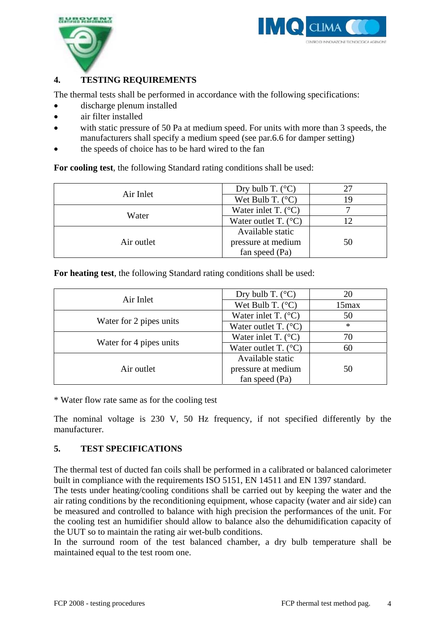



#### **4. TESTING REQUIREMENTS**

The thermal tests shall be performed in accordance with the following specifications:

- discharge plenum installed
- air filter installed
- with static pressure of 50 Pa at medium speed. For units with more than 3 speeds, the manufacturers shall specify a medium speed (see par.6.6 for damper setting)
- the speeds of choice has to be hard wired to the fan

**For cooling test**, the following Standard rating conditions shall be used:

| Air Inlet  | Dry bulb T. $(^{\circ}C)$     | 27 |
|------------|-------------------------------|----|
|            | Wet Bulb T. $(^{\circ}C)$     | 19 |
| Water      | Water inlet T. $(^{\circ}C)$  |    |
|            | Water outlet T. $(^{\circ}C)$ |    |
|            | Available static              |    |
| Air outlet | pressure at medium            | 50 |
|            | fan speed (Pa)                |    |

**For heating test**, the following Standard rating conditions shall be used:

| Air Inlet               | Dry bulb T. $(^{\circ}C)$         | 20       |
|-------------------------|-----------------------------------|----------|
|                         | Wet Bulb T. $(^{\circ}C)$         | $15$ max |
|                         | Water inlet T. $(^{\circ}C)$      | 50       |
| Water for 2 pipes units | Water outlet T. $(^{\circ}C)$     | $\ast$   |
|                         | Water inlet T. $(^{\circ}C)$      | 70       |
| Water for 4 pipes units | Water outlet $T.$ ( $^{\circ}C$ ) | 60       |
|                         | Available static                  |          |
| Air outlet              | pressure at medium                | 50       |
|                         | fan speed (Pa)                    |          |

\* Water flow rate same as for the cooling test

The nominal voltage is 230 V, 50 Hz frequency, if not specified differently by the manufacturer.

#### **5. TEST SPECIFICATIONS**

The thermal test of ducted fan coils shall be performed in a calibrated or balanced calorimeter built in compliance with the requirements ISO 5151, EN 14511 and EN 1397 standard.

The tests under heating/cooling conditions shall be carried out by keeping the water and the air rating conditions by the reconditioning equipment, whose capacity (water and air side) can be measured and controlled to balance with high precision the performances of the unit. For the cooling test an humidifier should allow to balance also the dehumidification capacity of the UUT so to maintain the rating air wet-bulb conditions.

In the surround room of the test balanced chamber, a dry bulb temperature shall be maintained equal to the test room one.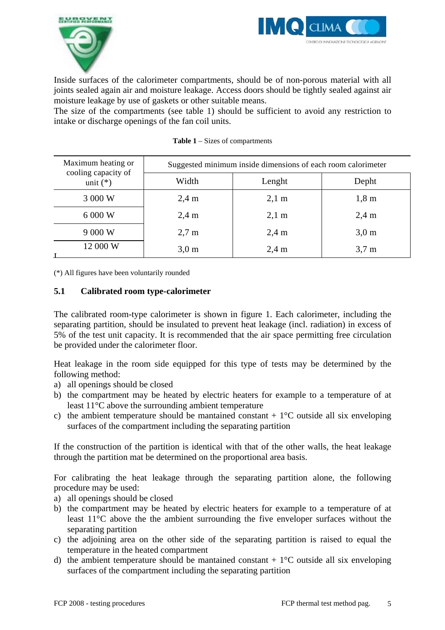



Inside surfaces of the calorimeter compartments, should be of non-porous material with all joints sealed again air and moisture leakage. Access doors should be tightly sealed against air moisture leakage by use of gaskets or other suitable means.

The size of the compartments (see table 1) should be sufficient to avoid any restriction to intake or discharge openings of the fan coil units.

| Maximum heating or<br>cooling capacity of | Suggested minimum inside dimensions of each room calorimeter |                 |                     |
|-------------------------------------------|--------------------------------------------------------------|-----------------|---------------------|
| unit $(*)$                                | Width                                                        | Lenght          | Depht               |
| 3 000 W                                   | $2,4 \text{ m}$                                              | $2,1 \text{ m}$ | $1,8 \; \mathrm{m}$ |
| 6 000 W                                   | $2,4 \text{ m}$                                              | $2,1 \text{ m}$ | $2,4 \text{ m}$     |
| 9 000 W                                   | $2.7 \text{ m}$                                              | $2,4 \text{ m}$ | 3.0 <sub>m</sub>    |
| 12 000 W                                  | 3.0 <sub>m</sub>                                             | $2.4 \text{ m}$ | 3.7 <sub>m</sub>    |

(\*) All figures have been voluntarily rounded

#### **5.1 Calibrated room type-calorimeter**

The calibrated room-type calorimeter is shown in figure 1. Each calorimeter, including the separating partition, should be insulated to prevent heat leakage (incl. radiation) in excess of 5% of the test unit capacity. It is recommended that the air space permitting free circulation be provided under the calorimeter floor.

Heat leakage in the room side equipped for this type of tests may be determined by the following method:

- a) all openings should be closed
- b) the compartment may be heated by electric heaters for example to a temperature of at least 11°C above the surrounding ambient temperature
- c) the ambient temperature should be mantained constant  $+ 1^{\circ}$ C outside all six enveloping surfaces of the compartment including the separating partition

If the construction of the partition is identical with that of the other walls, the heat leakage through the partition mat be determined on the proportional area basis.

For calibrating the heat leakage through the separating partition alone, the following procedure may be used:

- a) all openings should be closed
- b) the compartment may be heated by electric heaters for example to a temperature of at least 11°C above the the ambient surrounding the five enveloper surfaces without the separating partition
- c) the adjoining area on the other side of the separating partition is raised to equal the temperature in the heated compartment
- d) the ambient temperature should be mantained constant  $+ 1^{\circ}$ C outside all six enveloping surfaces of the compartment including the separating partition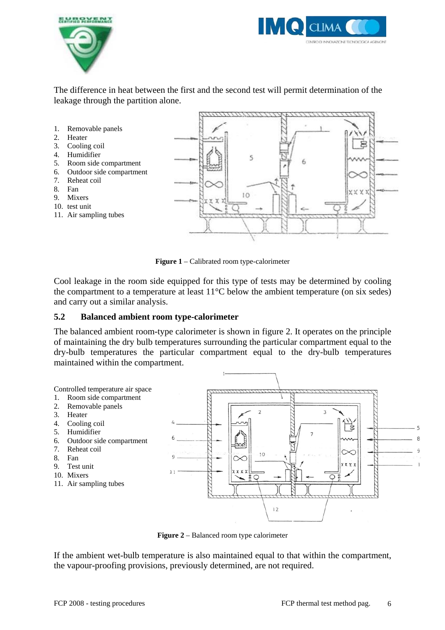



The difference in heat between the first and the second test will permit determination of the leakage through the partition alone.



**Figure 1** – Calibrated room type-calorimeter

Cool leakage in the room side equipped for this type of tests may be determined by cooling the compartment to a temperature at least 11°C below the ambient temperature (on six sedes) and carry out a similar analysis.

#### **5.2 Balanced ambient room type-calorimeter**

The balanced ambient room-type calorimeter is shown in figure 2. It operates on the principle of maintaining the dry bulb temperatures surrounding the particular compartment equal to the dry-bulb temperatures the particular compartment equal to the dry-bulb temperatures maintained within the compartment.



**Figure 2** – Balanced room type calorimeter

If the ambient wet-bulb temperature is also maintained equal to that within the compartment, the vapour-proofing provisions, previously determined, are not required.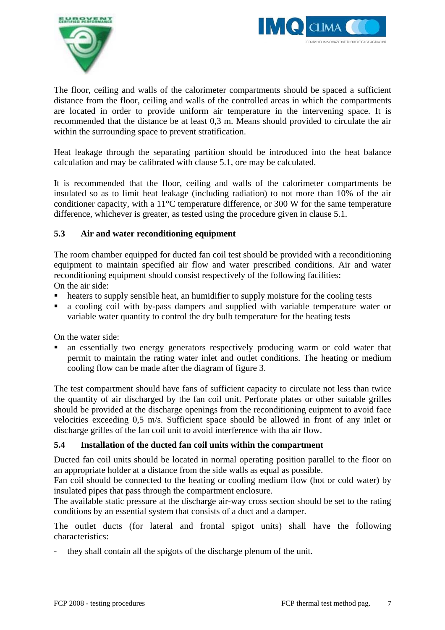



The floor, ceiling and walls of the calorimeter compartments should be spaced a sufficient distance from the floor, ceiling and walls of the controlled areas in which the compartments are located in order to provide uniform air temperature in the intervening space. It is recommended that the distance be at least 0,3 m. Means should provided to circulate the air within the surrounding space to prevent stratification.

Heat leakage through the separating partition should be introduced into the heat balance calculation and may be calibrated with clause 5.1, ore may be calculated.

It is recommended that the floor, ceiling and walls of the calorimeter compartments be insulated so as to limit heat leakage (including radiation) to not more than 10% of the air conditioner capacity, with a 11°C temperature difference, or 300 W for the same temperature difference, whichever is greater, as tested using the procedure given in clause 5.1.

#### **5.3 Air and water reconditioning equipment**

The room chamber equipped for ducted fan coil test should be provided with a reconditioning equipment to maintain specified air flow and water prescribed conditions. Air and water reconditioning equipment should consist respectively of the following facilities: On the air side:

- heaters to supply sensible heat, an humidifier to supply moisture for the cooling tests
- a cooling coil with by-pass dampers and supplied with variable temperature water or variable water quantity to control the dry bulb temperature for the heating tests

On the water side:

 an essentially two energy generators respectively producing warm or cold water that permit to maintain the rating water inlet and outlet conditions. The heating or medium cooling flow can be made after the diagram of figure 3.

The test compartment should have fans of sufficient capacity to circulate not less than twice the quantity of air discharged by the fan coil unit. Perforate plates or other suitable grilles should be provided at the discharge openings from the reconditioning euipment to avoid face velocities exceeding 0,5 m/s. Sufficient space should be allowed in front of any inlet or discharge grilles of the fan coil unit to avoid interference with tha air flow.

#### **5.4 Installation of the ducted fan coil units within the compartment**

Ducted fan coil units should be located in normal operating position parallel to the floor on an appropriate holder at a distance from the side walls as equal as possible.

Fan coil should be connected to the heating or cooling medium flow (hot or cold water) by insulated pipes that pass through the compartment enclosure.

The available static pressure at the discharge air-way cross section should be set to the rating conditions by an essential system that consists of a duct and a damper.

The outlet ducts (for lateral and frontal spigot units) shall have the following characteristics:

- they shall contain all the spigots of the discharge plenum of the unit.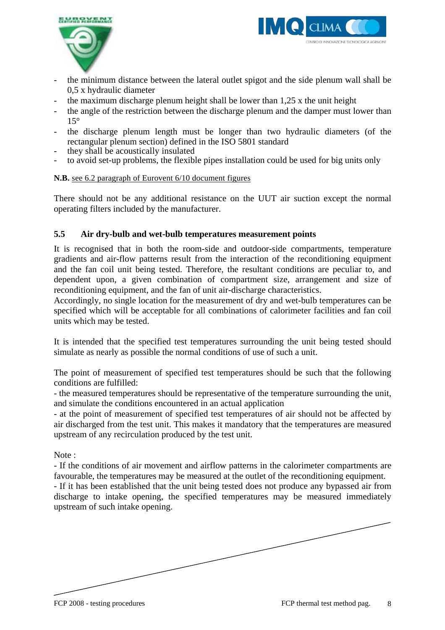



- the minimum distance between the lateral outlet spigot and the side plenum wall shall be 0,5 x hydraulic diameter
- the maximum discharge plenum height shall be lower than  $1,25$  x the unit height
- the angle of the restriction between the discharge plenum and the damper must lower than 15°
- the discharge plenum length must be longer than two hydraulic diameters (of the rectangular plenum section) defined in the ISO 5801 standard
- they shall be acoustically insulated
- to avoid set-up problems, the flexible pipes installation could be used for big units only

#### **N.B.** see 6.2 paragraph of Eurovent 6/10 document figures

There should not be any additional resistance on the UUT air suction except the normal operating filters included by the manufacturer.

#### **5.5 Air dry-bulb and wet-bulb temperatures measurement points**

It is recognised that in both the room-side and outdoor-side compartments, temperature gradients and air-flow patterns result from the interaction of the reconditioning equipment and the fan coil unit being tested. Therefore, the resultant conditions are peculiar to, and dependent upon, a given combination of compartment size, arrangement and size of reconditioning equipment, and the fan of unit air-discharge characteristics.

Accordingly, no single location for the measurement of dry and wet-bulb temperatures can be specified which will be acceptable for all combinations of calorimeter facilities and fan coil units which may be tested.

It is intended that the specified test temperatures surrounding the unit being tested should simulate as nearly as possible the normal conditions of use of such a unit.

The point of measurement of specified test temperatures should be such that the following conditions are fulfilled:

- the measured temperatures should be representative of the temperature surrounding the unit, and simulate the conditions encountered in an actual application

- at the point of measurement of specified test temperatures of air should not be affected by air discharged from the test unit. This makes it mandatory that the temperatures are measured upstream of any recirculation produced by the test unit.

Note:

- If the conditions of air movement and airflow patterns in the calorimeter compartments are favourable, the temperatures may be measured at the outlet of the reconditioning equipment.

- If it has been established that the unit being tested does not produce any bypassed air from discharge to intake opening, the specified temperatures may be measured immediately upstream of such intake opening.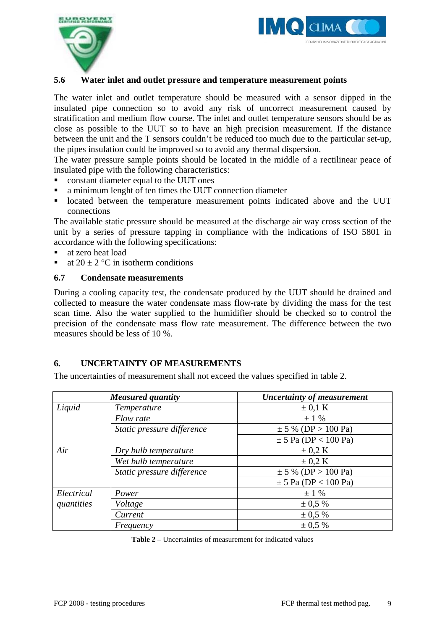



#### **5.6 Water inlet and outlet pressure and temperature measurement points**

The water inlet and outlet temperature should be measured with a sensor dipped in the insulated pipe connection so to avoid any risk of uncorrect measurement caused by stratification and medium flow course. The inlet and outlet temperature sensors should be as close as possible to the UUT so to have an high precision measurement. If the distance between the unit and the T sensors couldn't be reduced too much due to the particular set-up, the pipes insulation could be improved so to avoid any thermal dispersion.

The water pressure sample points should be located in the middle of a rectilinear peace of insulated pipe with the following characteristics:

- constant diameter equal to the UUT ones
- a minimum lenght of ten times the UUT connection diameter
- located between the temperature measurement points indicated above and the UUT connections

The available static pressure should be measured at the discharge air way cross section of the unit by a series of pressure tapping in compliance with the indications of ISO 5801 in accordance with the following specifications:

- at zero heat load
- at  $20 \pm 2$  °C in isotherm conditions

#### **6.7 Condensate measurements**

During a cooling capacity test, the condensate produced by the UUT should be drained and collected to measure the water condensate mass flow-rate by dividing the mass for the test scan time. Also the water supplied to the humidifier should be checked so to control the precision of the condensate mass flow rate measurement. The difference between the two measures should be less of 10 %.

#### **6. UNCERTAINTY OF MEASUREMENTS**

The uncertainties of measurement shall not exceed the values specified in table 2.

|            | <b>Measured quantity</b>   | <b>Uncertainty of measurement</b> |
|------------|----------------------------|-----------------------------------|
| Liquid     | Temperature                | $\pm$ 0,1 K                       |
|            | Flow rate                  | $\pm$ 1 %                         |
|            | Static pressure difference | $\pm$ 5 % (DP > 100 Pa)           |
|            |                            | $\pm$ 5 Pa (DP < 100 Pa)          |
| Air        | Dry bulb temperature       | $\pm$ 0.2 K                       |
|            | Wet bulb temperature       | $\pm$ 0.2 K                       |
|            | Static pressure difference | $\pm$ 5 % (DP > 100 Pa)           |
|            |                            | $\pm$ 5 Pa (DP < 100 Pa)          |
| Electrical | Power                      | $\pm$ 1 %                         |
| quantities | Voltage                    | $\pm 0.5 \%$                      |
|            | Current                    | $\pm 0.5 \%$                      |
|            | Frequency                  | $\pm 0.5 \%$                      |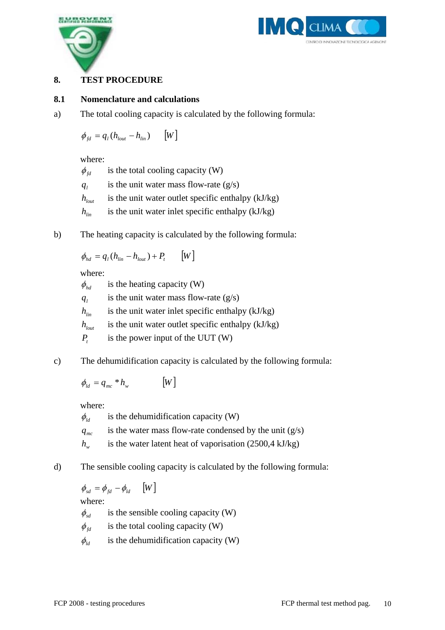



#### **8. TEST PROCEDURE**

#### **8.1 Nomenclature and calculations**

a) The total cooling capacity is calculated by the following formula:

 $\phi_{\rm fd} = q_{\rm l} ( h_{\rm lout} - h_{\rm lin} )$  [W]

where:

 $\phi_{\text{fd}}$  is the total cooling capacity (W)  $q_l$  is the unit water mass flow-rate (g/s)  $h_{\text{low}}$  is the unit water outlet specific enthalpy (kJ/kg)  $h_{lin}$  is the unit water inlet specific enthalpy (kJ/kg)

b) The heating capacity is calculated by the following formula:

$$
\phi_{hd} = q_l (h_{lin} - h_{lout}) + P_t \qquad [W]
$$

where:

 $\phi_{bd}$  is the heating capacity (W)  $q_i$  is the unit water mass flow-rate (g/s)  $h_{lin}$  is the unit water inlet specific enthalpy (kJ/kg)  $h_{\text{lout}}$  is the unit water outlet specific enthalpy (kJ/kg) *P<sub>t</sub>* is the power input of the UUT (W)

c) The dehumidification capacity is calculated by the following formula:

 $\phi_{ld} = q_{mc} * h_w$  [W]

where:

 $\phi_{\iota d}$  is the dehumidification capacity (W)  $q_{mc}$  is the water mass flow-rate condensed by the unit  $(g/s)$ *h<sub>w</sub>* is the water latent heat of vaporisation (2500,4 kJ/kg)

d) The sensible cooling capacity is calculated by the following formula:

 $\phi_{sd} = \phi_{td} - \phi_{ld}$  [W]

where:

 $\phi_{sd}$  is the sensible cooling capacity (W)

 $\phi_{td}$  is the total cooling capacity (W)

 $\phi_{\scriptscriptstyle{ld}}$  is the dehumidification capacity (W)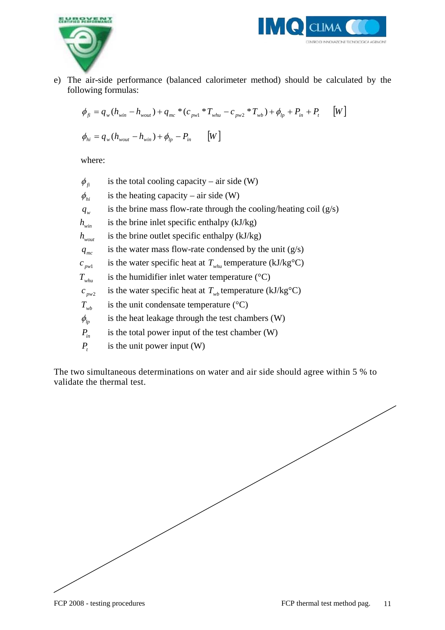



e) The air-side performance (balanced calorimeter method) should be calculated by the following formulas:

$$
\phi_{fi} = q_w (h_{win} - h_{wout}) + q_{mc} * (c_{pwl} * T_{whu} - c_{pw2} * T_{wb}) + \phi_{lp} + P_{in} + P_{t} \qquad [W]
$$
  

$$
\phi_{hi} = q_w (h_{wout} - h_{win}) + \phi_{lp} - P_{in} \qquad [W]
$$

where:

 $\phi_{\rm f}$  is the total cooling capacity – air side (W)  $\phi_{hi}$  is the heating capacity – air side (W) *q<sub>w</sub>* is the brine mass flow-rate through the cooling/heating coil (g/s)  $h_{\text{win}}$  is the brine inlet specific enthalpy (kJ/kg) *h<sub>wout</sub>* is the brine outlet specific enthalpy (kJ/kg) *q<sub>mc</sub>* is the water mass flow-rate condensed by the unit (g/s)  $c_{pwl}$  is the water specific heat at  $T_{whu}$  temperature (kJ/kg<sup>o</sup>C)  $T_{whu}$  is the humidifier inlet water temperature ( $^{\circ}$ C)  $c_{\text{two2}}$  is the water specific heat at  $T_{wh}$  temperature (kJ/kg<sup>o</sup>C)  $T_{wh}$  is the unit condensate temperature ( $\rm ^{\circ}C$ )  $\phi$ <sub>lp</sub> is the heat leakage through the test chambers (W)  $P_{in}$  is the total power input of the test chamber (W) *P<sub>t</sub>* is the unit power input (W)

The two simultaneous determinations on water and air side should agree within 5 % to validate the thermal test.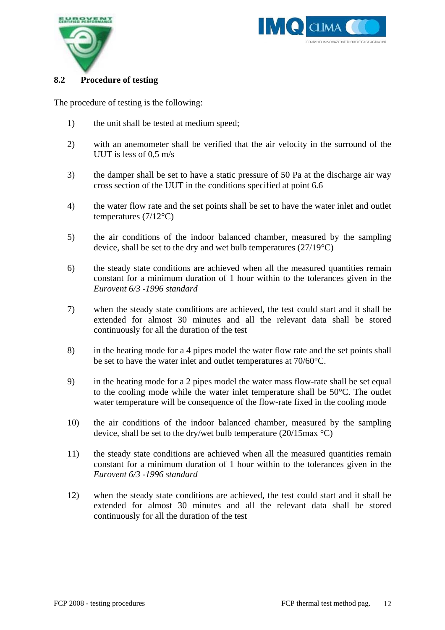



#### **8.2 Procedure of testing**

The procedure of testing is the following:

- 1) the unit shall be tested at medium speed;
- 2) with an anemometer shall be verified that the air velocity in the surround of the UUT is less of 0,5 m/s
- 3) the damper shall be set to have a static pressure of 50 Pa at the discharge air way cross section of the UUT in the conditions specified at point 6.6
- 4) the water flow rate and the set points shall be set to have the water inlet and outlet temperatures  $(7/12^{\circ}C)$
- 5) the air conditions of the indoor balanced chamber, measured by the sampling device, shall be set to the dry and wet bulb temperatures (27/19°C)
- 6) the steady state conditions are achieved when all the measured quantities remain constant for a minimum duration of 1 hour within to the tolerances given in the *Eurovent 6/3 -1996 standard*
- 7) when the steady state conditions are achieved, the test could start and it shall be extended for almost 30 minutes and all the relevant data shall be stored continuously for all the duration of the test
- 8) in the heating mode for a 4 pipes model the water flow rate and the set points shall be set to have the water inlet and outlet temperatures at 70/60°C.
- 9) in the heating mode for a 2 pipes model the water mass flow-rate shall be set equal to the cooling mode while the water inlet temperature shall be 50°C. The outlet water temperature will be consequence of the flow-rate fixed in the cooling mode
- 10) the air conditions of the indoor balanced chamber, measured by the sampling device, shall be set to the dry/wet bulb temperature (20/15max °C)
- 11) the steady state conditions are achieved when all the measured quantities remain constant for a minimum duration of 1 hour within to the tolerances given in the *Eurovent 6/3 -1996 standard*
- 12) when the steady state conditions are achieved, the test could start and it shall be extended for almost 30 minutes and all the relevant data shall be stored continuously for all the duration of the test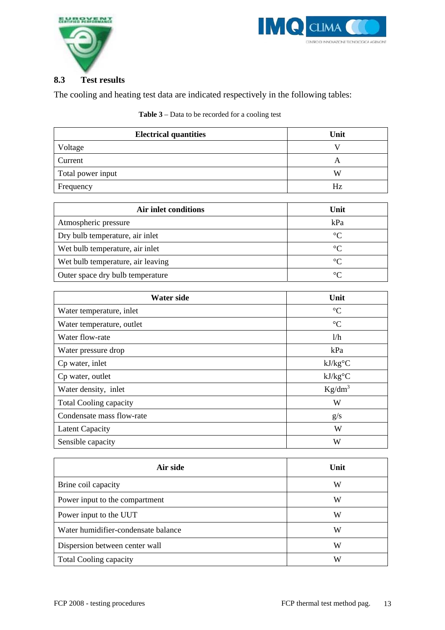



#### **8.3 Test results**

The cooling and heating test data are indicated respectively in the following tables:

**Table 3** – Data to be recorded for a cooling test

| <b>Electrical quantities</b>                                           | Unit |
|------------------------------------------------------------------------|------|
| Voltage                                                                |      |
| Current                                                                | Α    |
| Total power input                                                      | W    |
| $F_{\mathbf{r} \alpha \mathbf{u} \alpha \mathbf{n} \alpha \mathbf{v}}$ | Н7   |

| Current           |    |
|-------------------|----|
| Total power input | v  |
| Frequency         | Hz |
|                   |    |

| Air inlet conditions              | Unit      |
|-----------------------------------|-----------|
| Atmospheric pressure              | kPa       |
| Dry bulb temperature, air inlet   | $\circ$ C |
| Wet bulb temperature, air inlet   | $\circ$   |
| Wet bulb temperature, air leaving | $\circ$   |
| Outer space dry bulb temperature  | $\circ$   |

| Water side                    | Unit            |
|-------------------------------|-----------------|
| Water temperature, inlet      | $\rm ^{\circ}C$ |
| Water temperature, outlet     | $\rm ^{\circ}C$ |
| Water flow-rate               | 1/h             |
| Water pressure drop           | kPa             |
| Cp water, inlet               | $kJ/kg$ °C      |
| Cp water, outlet              | $kJ/kg$ °C      |
| Water density, inlet          | $Kg/dm^3$       |
| <b>Total Cooling capacity</b> | W               |
| Condensate mass flow-rate     | g/s             |
| <b>Latent Capacity</b>        | W               |
| Sensible capacity             | W               |

| Air side                            | Unit |
|-------------------------------------|------|
| Brine coil capacity                 | W    |
| Power input to the compartment      | W    |
| Power input to the UUT              | W    |
| Water humidifier-condensate balance | W    |
| Dispersion between center wall      | W    |
| <b>Total Cooling capacity</b>       | W    |